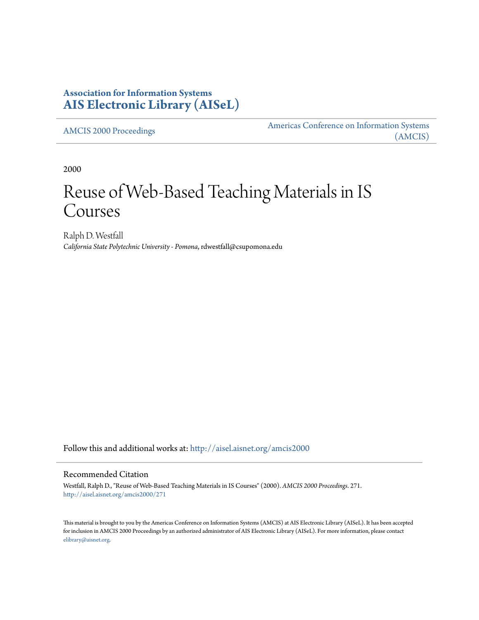# **Association for Information Systems [AIS Electronic Library \(AISeL\)](http://aisel.aisnet.org?utm_source=aisel.aisnet.org%2Famcis2000%2F271&utm_medium=PDF&utm_campaign=PDFCoverPages)**

[AMCIS 2000 Proceedings](http://aisel.aisnet.org/amcis2000?utm_source=aisel.aisnet.org%2Famcis2000%2F271&utm_medium=PDF&utm_campaign=PDFCoverPages)

[Americas Conference on Information Systems](http://aisel.aisnet.org/amcis?utm_source=aisel.aisnet.org%2Famcis2000%2F271&utm_medium=PDF&utm_campaign=PDFCoverPages) [\(AMCIS\)](http://aisel.aisnet.org/amcis?utm_source=aisel.aisnet.org%2Famcis2000%2F271&utm_medium=PDF&utm_campaign=PDFCoverPages)

2000

# Reuse of Web-Based Teaching Materials in IS Courses

Ralph D. Westfall *California State Polytechnic University - Pomona*, rdwestfall@csupomona.edu

Follow this and additional works at: [http://aisel.aisnet.org/amcis2000](http://aisel.aisnet.org/amcis2000?utm_source=aisel.aisnet.org%2Famcis2000%2F271&utm_medium=PDF&utm_campaign=PDFCoverPages)

#### Recommended Citation

Westfall, Ralph D., "Reuse of Web-Based Teaching Materials in IS Courses" (2000). *AMCIS 2000 Proceedings*. 271. [http://aisel.aisnet.org/amcis2000/271](http://aisel.aisnet.org/amcis2000/271?utm_source=aisel.aisnet.org%2Famcis2000%2F271&utm_medium=PDF&utm_campaign=PDFCoverPages)

This material is brought to you by the Americas Conference on Information Systems (AMCIS) at AIS Electronic Library (AISeL). It has been accepted for inclusion in AMCIS 2000 Proceedings by an authorized administrator of AIS Electronic Library (AISeL). For more information, please contact [elibrary@aisnet.org.](mailto:elibrary@aisnet.org%3E)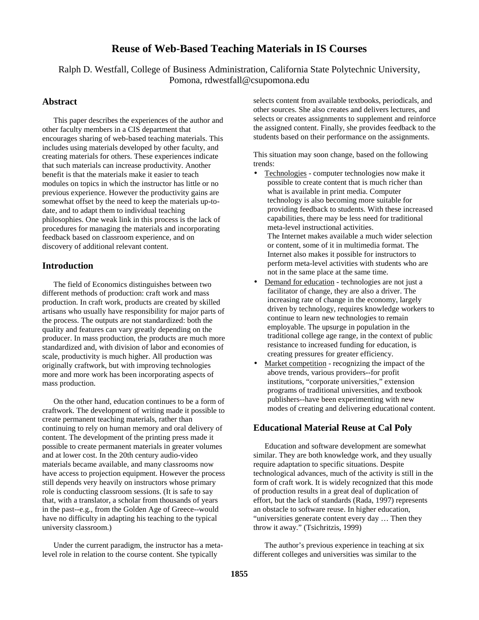## **Reuse of Web-Based Teaching Materials in IS Courses**

Ralph D. Westfall, College of Business Administration, California State Polytechnic University, Pomona, rdwestfall@csupomona.edu

#### **Abstract**

This paper describes the experiences of the author and other faculty members in a CIS department that encourages sharing of web-based teaching materials. This includes using materials developed by other faculty, and creating materials for others. These experiences indicate that such materials can increase productivity. Another benefit is that the materials make it easier to teach modules on topics in which the instructor has little or no previous experience. However the productivity gains are somewhat offset by the need to keep the materials up-todate, and to adapt them to individual teaching philosophies. One weak link in this process is the lack of procedures for managing the materials and incorporating feedback based on classroom experience, and on discovery of additional relevant content.

## **Introduction**

The field of Economics distinguishes between two different methods of production: craft work and mass production. In craft work, products are created by skilled artisans who usually have responsibility for major parts of the process. The outputs are not standardized: both the quality and features can vary greatly depending on the producer. In mass production, the products are much more standardized and, with division of labor and economies of scale, productivity is much higher. All production was originally craftwork, but with improving technologies more and more work has been incorporating aspects of mass production.

On the other hand, education continues to be a form of craftwork. The development of writing made it possible to create permanent teaching materials, rather than continuing to rely on human memory and oral delivery of content. The development of the printing press made it possible to create permanent materials in greater volumes and at lower cost. In the 20th century audio-video materials became available, and many classrooms now have access to projection equipment. However the process still depends very heavily on instructors whose primary role is conducting classroom sessions. (It is safe to say that, with a translator, a scholar from thousands of years in the past--e.g., from the Golden Age of Greece--would have no difficulty in adapting his teaching to the typical university classroom.)

Under the current paradigm, the instructor has a metalevel role in relation to the course content. She typically

selects content from available textbooks, periodicals, and other sources. She also creates and delivers lectures, and selects or creates assignments to supplement and reinforce the assigned content. Finally, she provides feedback to the students based on their performance on the assignments.

This situation may soon change, based on the following trends:

- Technologies computer technologies now make it possible to create content that is much richer than what is available in print media. Computer technology is also becoming more suitable for providing feedback to students. With these increased capabilities, there may be less need for traditional meta-level instructional activities. The Internet makes available a much wider selection or content, some of it in multimedia format. The Internet also makes it possible for instructors to perform meta-level activities with students who are not in the same place at the same time.
- Demand for education technologies are not just a facilitator of change, they are also a driver. The increasing rate of change in the economy, largely driven by technology, requires knowledge workers to continue to learn new technologies to remain employable. The upsurge in population in the traditional college age range, in the context of public resistance to increased funding for education, is creating pressures for greater efficiency.
- Market competition recognizing the impact of the above trends, various providers--for profit institutions, "corporate universities," extension programs of traditional universities, and textbook publishers--have been experimenting with new modes of creating and delivering educational content.

### **Educational Material Reuse at Cal Poly**

Education and software development are somewhat similar. They are both knowledge work, and they usually require adaptation to specific situations. Despite technological advances, much of the activity is still in the form of craft work. It is widely recognized that this mode of production results in a great deal of duplication of effort, but the lack of standards (Rada, 1997) represents an obstacle to software reuse. In higher education, "universities generate content every day … Then they throw it away." (Tsichritzis, 1999)

The author's previous experience in teaching at six different colleges and universities was similar to the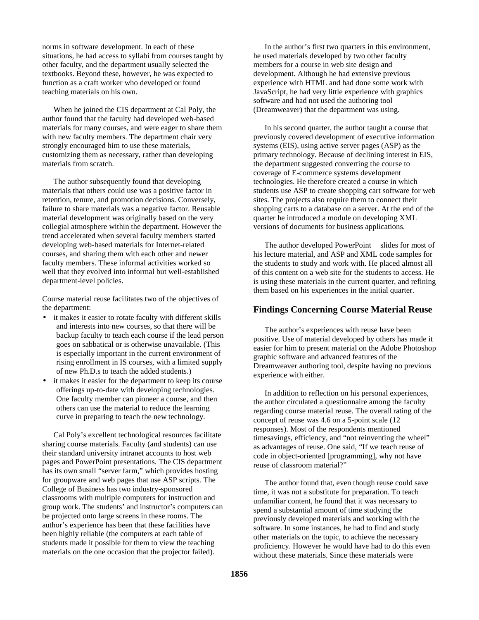norms in software development. In each of these situations, he had access to syllabi from courses taught by other faculty, and the department usually selected the textbooks. Beyond these, however, he was expected to function as a craft worker who developed or found teaching materials on his own.

When he joined the CIS department at Cal Poly, the author found that the faculty had developed web-based materials for many courses, and were eager to share them with new faculty members. The department chair very strongly encouraged him to use these materials, customizing them as necessary, rather than developing materials from scratch.

The author subsequently found that developing materials that others could use was a positive factor in retention, tenure, and promotion decisions. Conversely, failure to share materials was a negative factor. Reusable material development was originally based on the very collegial atmosphere within the department. However the trend accelerated when several faculty members started developing web-based materials for Internet-related courses, and sharing them with each other and newer faculty members. These informal activities worked so well that they evolved into informal but well-established department-level policies.

Course material reuse facilitates two of the objectives of the department:

- it makes it easier to rotate faculty with different skills and interests into new courses, so that there will be backup faculty to teach each course if the lead person goes on sabbatical or is otherwise unavailable. (This is especially important in the current environment of rising enrollment in IS courses, with a limited supply of new Ph.D.s to teach the added students.)
- it makes it easier for the department to keep its course offerings up-to-date with developing technologies. One faculty member can pioneer a course, and then others can use the material to reduce the learning curve in preparing to teach the new technology.

Cal Poly's excellent technological resources facilitate sharing course materials. Faculty (and students) can use their standard university intranet accounts to host web pages and PowerPoint presentations. The CIS department has its own small "server farm," which provides hosting for groupware and web pages that use ASP scripts. The College of Business has two industry-sponsored classrooms with multiple computers for instruction and group work. The students' and instructor's computers can be projected onto large screens in these rooms. The author's experience has been that these facilities have been highly reliable (the computers at each table of students made it possible for them to view the teaching materials on the one occasion that the projector failed).

In the author's first two quarters in this environment, he used materials developed by two other faculty members for a course in web site design and development. Although he had extensive previous experience with HTML and had done some work with JavaScript, he had very little experience with graphics software and had not used the authoring tool (Dreamweaver) that the department was using.

In his second quarter, the author taught a course that previously covered development of executive information systems (EIS), using active server pages (ASP) as the primary technology. Because of declining interest in EIS, the department suggested converting the course to coverage of E-commerce systems development technologies. He therefore created a course in which students use ASP to create shopping cart software for web sites. The projects also require them to connect their shopping carts to a database on a server. At the end of the quarter he introduced a module on developing XML versions of documents for business applications.

The author developed PowerPoint<sup> $TM$ </sup> slides for most of his lecture material, and ASP and XML code samples for the students to study and work with. He placed almost all of this content on a web site for the students to access. He is using these materials in the current quarter, and refining them based on his experiences in the initial quarter.

### **Findings Concerning Course Material Reuse**

The author's experiences with reuse have been positive. Use of material developed by others has made it easier for him to present material on the Adobe Photoshop graphic software and advanced features of the Dreamweaver authoring tool, despite having no previous experience with either.

In addition to reflection on his personal experiences, the author circulated a questionnaire among the faculty regarding course material reuse. The overall rating of the concept of reuse was 4.6 on a 5-point scale (12 responses). Most of the respondents mentioned timesavings, efficiency, and "not reinventing the wheel" as advantages of reuse. One said, "If we teach reuse of code in object-oriented [programming], why not have reuse of classroom material?"

The author found that, even though reuse could save time, it was not a substitute for preparation. To teach unfamiliar content, he found that it was necessary to spend a substantial amount of time studying the previously developed materials and working with the software. In some instances, he had to find and study other materials on the topic, to achieve the necessary proficiency. However he would have had to do this even without these materials. Since these materials were